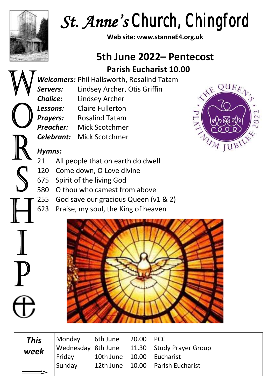

# *St. Anne's Church, Chingford*

**Web site: www.stanneE4.org.uk**

# **5th June 2022– Pentecost Parish Eucharist 10.00**

*Welcomers:* Phil Hallsworth, Rosalind Tatam

*Servers:* Lindsey Archer, Otis Griffin

*Chalice:* Lindsey Archer

*Lessons:* Claire Fullerton

*Prayers:* Rosalind Tatam

*Preacher:* Mick Scotchmer

*Celebrant:* Mick Scotchmer



### *Hymns:*

- 21 All people that on earth do dwell
- 120 Come down, O Love divine
- 675 Spirit of the living God
- 580 O thou who camest from above
- 255 God save our gracious Queen (v1 & 2)
- 623 Praise, my soul, the King of heaven



 $\frac{R}{S}$ 



| <b>This</b> | Monday 6th June 20.00 PCC                |  |                                             |
|-------------|------------------------------------------|--|---------------------------------------------|
| week        |                                          |  | Wednesday 8th June 11.30 Study Prayer Group |
|             | $\vert$ Friday 10th June 10.00 Eucharist |  |                                             |
|             | Sunday                                   |  | 12th June 10.00 Parish Eucharist            |
|             |                                          |  |                                             |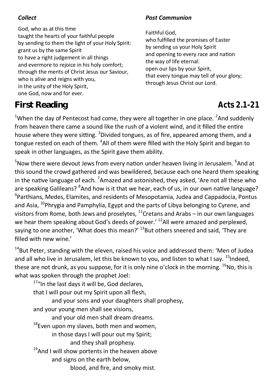God, who as at this time taught the hearts of your faithful people by sending to them the light of your Holy Spirit: grant us by the same Spirit to have a right judgement in all things and evermore to rejoice in his holy comfort; through the merits of Christ Jesus our Saviour, who is alive and reigns with you, in the unity of the Holy Spirit, one God, now and for ever.

#### *Collect Post Communion*

Faithful God,

who fulfilled the promises of Easter by sending us your Holy Spirit and opening to every race and nation the way of life eternal: open our lips by your Spirit, that every tongue may tell of your glory; through Jesus Christ our Lord.

## **First Reading** *Acts 2.1-21*

 $1$ When the day of Pentecost had come, they were all together in one place.  $2$ And suddenly from heaven there came a sound like the rush of a violent wind, and it filled the entire house where they were sitting. <sup>3</sup>Divided tongues, as of fire, appeared among them, and a tongue rested on each of them. <sup>4</sup>All of them were filled with the Holy Spirit and began to speak in other languages, as the Spirit gave them ability.

 $5$ Now there were devout Jews from every nation under heaven living in Jerusalem.  $6$ And at this sound the crowd gathered and was bewildered, because each one heard them speaking in the native language of each. <sup>7</sup>Amazed and astonished, they asked, 'Are not all these who are speaking Galileans? <sup>8</sup>And how is it that we hear, each of us, in our own native language? 9 Parthians, Medes, Elamites, and residents of Mesopotamia, Judea and Cappadocia, Pontus and Asia, <sup>10</sup>Phrygia and Pamphylia, Egypt and the parts of Libya belonging to Cyrene, and visitors from Rome, both Jews and proselytes,  $^{11}$ Cretans and Arabs – in our own languages we hear them speaking about God's deeds of power.<sup>' 12</sup>All were amazed and perplexed, saying to one another, 'What does this mean?' <sup>13</sup>But others sneered and said, 'They are filled with new wine'

 $14$ But Peter, standing with the eleven, raised his voice and addressed them: 'Men of Judea and all who live in Jerusalem, let this be known to you, and listen to what I say.  $^{15}$ Indeed, these are not drunk, as you suppose, for it is only nine o'clock in the morning.  $^{16}$ No, this is what was spoken through the prophet Joel:

 $17$ "In the last days it will be, God declares, that I will pour out my Spirit upon all flesh, and your sons and your daughters shall prophesy, and your young men shall see visions, and your old men shall dream dreams.  $18$ Even upon my slaves, both men and women. in those days I will pour out my Spirit; and they shall prophesy. <sup>19</sup>And I will show portents in the heaven above and signs on the earth below, blood, and fire, and smoky mist.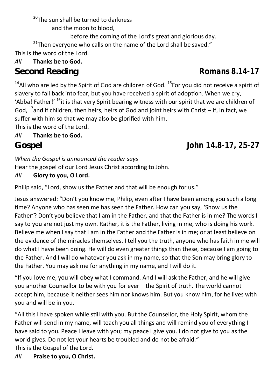<sup>20</sup>The sun shall be turned to darkness and the moon to blood,

before the coming of the Lord's great and glorious day.

 $21$ Then evervone who calls on the name of the Lord shall be saved." This is the word of the Lord.

#### *All* **Thanks be to God.**

#### **Second Reading** *Romans 8.14-17*

 $14$ All who are led by the Spirit of God are children of God.  $15$ For you did not receive a spirit of slavery to fall back into fear, but you have received a spirit of adoption. When we cry, 'Abba! Father!' <sup>16</sup>it is that very Spirit bearing witness with our spirit that we are children of God,  $^{17}$ and if children, then heirs, heirs of God and joint heirs with Christ – if, in fact, we suffer with him so that we may also be glorified with him.

This is the word of the Lord.

#### *All* **Thanks be to God.**

**Gospel** *John 14.8-17, 25-27*

#### *When the Gospel is announced the reader says* Hear the gospel of our Lord Jesus Christ according to John.

#### *All* **Glory to you, O Lord.**

Philip said, "Lord, show us the Father and that will be enough for us."

Jesus answered: "Don't you know me, Philip, even after I have been among you such a long time? Anyone who has seen me has seen the Father. How can you say, 'Show us the Father'? Don't you believe that I am in the Father, and that the Father is in me? The words I say to you are not just my own. Rather, it is the Father, living in me, who is doing his work. Believe me when I say that I am in the Father and the Father is in me; or at least believe on the evidence of the miracles themselves. I tell you the truth, anyone who has faith in me will do what I have been doing. He will do even greater things than these, because I am going to the Father. And I will do whatever you ask in my name, so that the Son may bring glory to the Father. You may ask me for anything in my name, and I will do it.

"If you love me, you will obey what I command. And I will ask the Father, and he will give you another Counsellor to be with you for ever – the Spirit of truth. The world cannot accept him, because it neither sees him nor knows him. But you know him, for he lives with you and will be in you.

"All this I have spoken while still with you. But the Counsellor, the Holy Spirit, whom the Father will send in my name, will teach you all things and will remind you of everything I have said to you. Peace I leave with you; my peace I give you. I do not give to you as the world gives. Do not let your hearts be troubled and do not be afraid."

This is the Gospel of the Lord.

#### *All* **Praise to you, O Christ.**